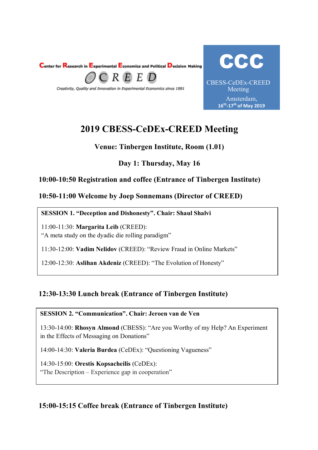



# **2019 CBESS-CeDEx-CREED Meeting**

# **Venue: Tinbergen Institute, Room (1.01)**

# **Day 1: Thursday, May 16**

# **10:00-10:50 Registration and coffee (Entrance of Tinbergen Institute)**

### **10:50-11:00 Welcome by Joep Sonnemans (Director of CREED)**

#### **10:50: SESSION 1. "Deception and Dishonesty". Chair: Shaul Shalvi**

11:00-11:30: **Margarita Leib** (CREED): "A meta study on the dyadic die rolling paradigm"

11:30-12:00: **Vadim Nelidov** (CREED): "Review Fraud in Online Markets"

12:00-12:30: **Aslihan Akdeniz** (CREED): "The Evolution of Honesty"

# **12:30-13:30 Lunch break (Entrance of Tinbergen Institute)**

#### **SESSION 2. "Communication". Chair: Jeroen van de Ven**

13:30-14:00: **Rhosyn Almond** (CBESS): "Are you Worthy of my Help? An Experiment in the Effects of Messaging on Donations"

14:00-14:30: **Valeria Burdea** (CeDEx): "Questioning Vagueness"

14:30-15:00: **Orestis Kopsacheilis** (CeDEx): "The Description – Experience gap in cooperation"

# **15:00-15:15 Coffee break (Entrance of Tinbergen Institute)**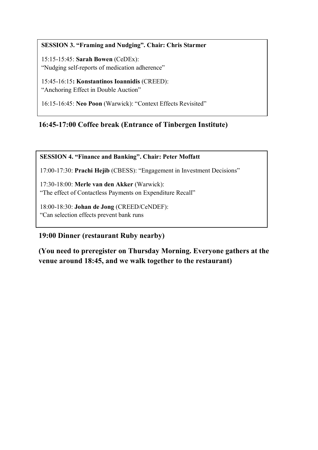# **10:50: SESSION 3. "Framing and Nudging". Chair: Chris Starmer**

15:15-15:45: **Sarah Bowen** (CeDEx): "Nudging self-reports of medication adherence"

15:45-16:15**: Konstantinos Ioannidis** (CREED): "Anchoring Effect in Double Auction"

16:15-16:45: **Neo Poon** (Warwick): "Context Effects Revisited"

# **16:45-17:00 Coffee break (Entrance of Tinbergen Institute)**

#### **SESSION 4. "Finance and Banking". Chair: Peter Moffatt**

17:00-17:30: **Prachi Hejib** (CBESS): "Engagement in Investment Decisions"

17:30-18:00: **Merle van den Akker** (Warwick): "The effect of Contactless Payments on Expenditure Recall"

18:00-18:30: **Johan de Jong** (CREED/CeNDEF): "Can selection effects prevent bank runs

# **19:00 Dinner (restaurant Ruby nearby)**

**(You need to preregister on Thursday Morning. Everyone gathers at the venue around 18:45, and we walk together to the restaurant)**